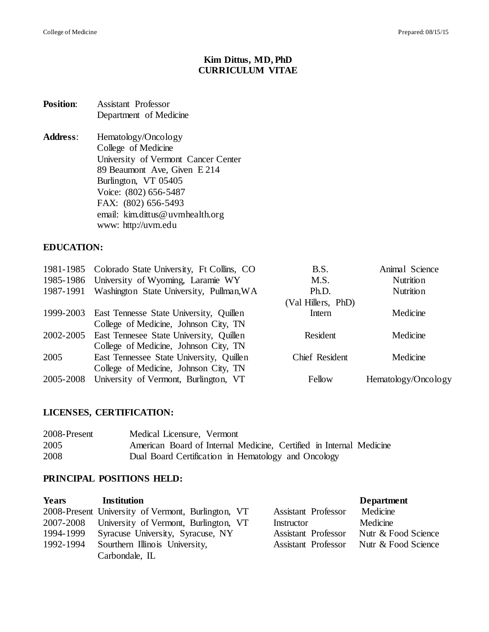# **Kim Dittus, MD, PhD CURRICULUM VITAE**

#### **Position**: Assistant Professor Department of Medicine

**Address**: Hematology/Oncology College of Medicine University of Vermont Cancer Center 89 Beaumont Ave, Given E 214 Burlington, VT 05405 Voice: (802) 656-5487 FAX: (802) 656-5493 email: kim.dittus@uvmhealth.org www: http://uvm.edu

#### **EDUCATION:**

|           | 1981-1985 Colorado State University, Ft Collins, CO | B.S.               | Animal Science      |
|-----------|-----------------------------------------------------|--------------------|---------------------|
|           | 1985-1986 University of Wyoming, Laramie WY         | M.S.               | Nutrition           |
|           | 1987-1991 Washington State University, Pullman, WA  | Ph.D.              | Nutrition           |
|           |                                                     | (Val Hillers, PhD) |                     |
|           | 1999-2003 East Tennesse State University, Quillen   | Intern             | Medicine            |
|           | College of Medicine, Johnson City, TN               |                    |                     |
| 2002-2005 | East Tennesee State University, Quillen             | Resident           | Medicine            |
|           | College of Medicine, Johnson City, TN               |                    |                     |
| 2005      | East Tennessee State University, Quillen            | Chief Resident     | Medicine            |
|           | College of Medicine, Johnson City, TN               |                    |                     |
| 2005-2008 | University of Vermont, Burlington, VT               | Fellow             | Hematology/Oncology |

# **LICENSES, CERTIFICATION:**

| 2008-Present | Medical Licensure, Vermont                                          |
|--------------|---------------------------------------------------------------------|
| 2005         | American Board of Internal Medicine, Certified in Internal Medicine |
| 2008         | Dual Board Certification in Hematology and Oncology                 |

## **PRINCIPAL POSITIONS HELD:**

| <b>Years</b> | Institution                                        |                            | <b>Department</b>   |
|--------------|----------------------------------------------------|----------------------------|---------------------|
|              | 2008-Present University of Vermont, Burlington, VT | <b>Assistant Professor</b> | Medicine            |
|              | 2007-2008 University of Vermont, Burlington, VT    | Instructor                 | Medicine            |
|              | 1994-1999 Syracuse University, Syracuse, NY        | <b>Assistant Professor</b> | Nutr & Food Science |
| 1992-1994    | Sourthern Illinois University,                     | <b>Assistant Professor</b> | Nutr & Food Science |
|              | Carbondale, IL                                     |                            |                     |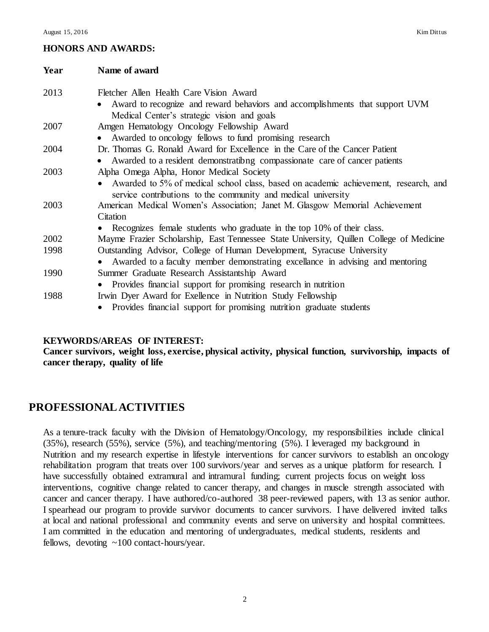# **HONORS AND AWARDS:**

| Year | Name of award                                                                           |
|------|-----------------------------------------------------------------------------------------|
| 2013 | Fletcher Allen Health Care Vision Award                                                 |
|      | Award to recognize and reward behaviors and accomplishments that support UVM<br>٠       |
|      | Medical Center's strategic vision and goals                                             |
| 2007 | Amgen Hematology Oncology Fellowship Award                                              |
|      | Awarded to oncology fellows to fund promising research                                  |
| 2004 | Dr. Thomas G. Ronald Award for Excellence in the Care of the Cancer Patient             |
|      | Awarded to a resident demonstrationg compassionate care of cancer patients              |
| 2003 | Alpha Omega Alpha, Honor Medical Society                                                |
|      | Awarded to 5% of medical school class, based on academic achievement, research, and     |
|      | service contributions to the community and medical university                           |
| 2003 | American Medical Women's Association; Janet M. Glasgow Memorial Achievement             |
|      | Citation                                                                                |
|      | Recognizes female students who graduate in the top 10% of their class.                  |
| 2002 | Mayme Frazier Scholarship, East Tennessee State University, Quillen College of Medicine |
| 1998 | Outstanding Advisor, College of Human Development, Syracuse University                  |
|      | Awarded to a faculty member demonstrating excellance in advising and mentoring          |
| 1990 | Summer Graduate Research Assistantship Award                                            |
|      | Provides financial support for promising research in nutrition                          |
| 1988 | Irwin Dyer Award for Exellence in Nutrition Study Fellowship                            |
|      | • Provides financial support for promising nutrition graduate students                  |

## **KEYWORDS/AREAS OF INTEREST:**

**Cancer survivors, weight loss, exercise, physical activity, physical function, survivorship, impacts of cancer therapy, quality of life**

# **PROFESSIONAL ACTIVITIES**

As a tenure-track faculty with the Division of Hematology/Oncology, my responsibilities include clinical (35%), research (55%), service (5%), and teaching/mentoring (5%). I leveraged my background in Nutrition and my research expertise in lifestyle interventions for cancer survivors to establish an oncology rehabilitation program that treats over 100 survivors/year and serves as a unique platform for research. I have successfully obtained extramural and intramural funding; current projects focus on weight loss interventions, cognitive change related to cancer therapy, and changes in muscle strength associated with cancer and cancer therapy. I have authored/co-authored 38 peer-reviewed papers, with 13 as senior author. I spearhead our program to provide survivor documents to cancer survivors. I have delivered invited talks at local and national professional and community events and serve on university and hospital committees. I am committed in the education and mentoring of undergraduates, medical students, residents and fellows, devoting ~100 contact-hours/year.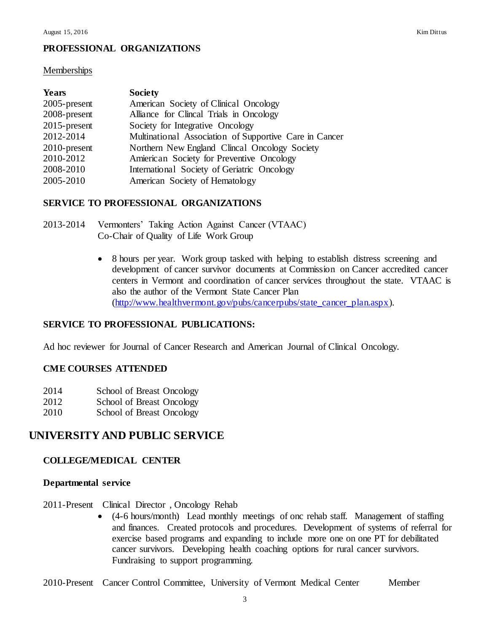# **PROFESSIONAL ORGANIZATIONS**

#### **Memberships**

| <b>Years</b>    | <b>Society</b>                                         |
|-----------------|--------------------------------------------------------|
| $2005$ -present | American Society of Clinical Oncology                  |
| 2008-present    | Alliance for Clincal Trials in Oncology                |
| $2015$ -present | Society for Integrative Oncology                       |
| 2012-2014       | Multinational Association of Supportive Care in Cancer |
| $2010$ -present | Northern New England Clincal Oncology Society          |
| 2010-2012       | Amierican Society for Preventive Oncology              |
| 2008-2010       | International Society of Geriatric Oncology            |
| 2005-2010       | American Society of Hematology                         |

#### **SERVICE TO PROFESSIONAL ORGANIZATIONS**

- 2013-2014 Vermonters' Taking Action Against Cancer (VTAAC) Co-Chair of Quality of Life Work Group
	- 8 hours per year. Work group tasked with helping to establish distress screening and development of cancer survivor documents at Commission on Cancer accredited cancer centers in Vermont and coordination of cancer services throughout the state. VTAAC is also the author of the Vermont State Cancer Plan [\(http://www.healthvermont.gov/pubs/cancerpubs/state\\_cancer\\_plan.aspx\).](http://www.healthvermont.gov/pubs/cancerpubs/state_cancer_plan.aspx)

#### **SERVICE TO PROFESSIONAL PUBLICATIONS:**

Ad hoc reviewer for Journal of Cancer Research and American Journal of Clinical Oncology.

#### **CME COURSES ATTENDED**

- 2014 School of Breast Oncology
- 2012 School of Breast Oncology
- 2010 School of Breast Oncology

# **UNIVERSITY AND PUBLIC SERVICE**

#### **COLLEGE/MEDICAL CENTER**

#### **Departmental service**

- 2011-Present Clinical Director , Oncology Rehab
	- (4-6 hours/month) Lead monthly meetings of onc rehab staff. Management of staffing and finances. Created protocols and procedures. Development of systems of referral for exercise based programs and expanding to include more one on one PT for debilitated cancer survivors. Developing health coaching options for rural cancer survivors. Fundraising to support programming.

2010-Present Cancer Control Committee, University of Vermont Medical Center Member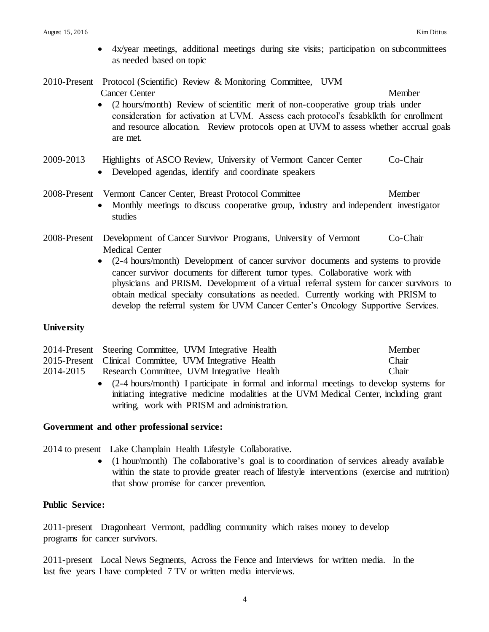- 4x/year meetings, additional meetings during site visits; participation on subcommittees as needed based on topic
- 2010-Present Protocol (Scientific) Review & Monitoring Committee, UVM **Cancer Center Member** 
	- (2 hours/month) Review of scientific merit of non-cooperative group trials under consideration for activation at UVM. Assess each protocol's fesabklkth for enrollment and resource allocation. Review protocols open at UVM to assess whether accrual goals are met.

## 2009-2013 Highlights of ASCO Review, University of Vermont Cancer Center Co-Chair Developed agendas, identify and coordinate speakers

# 2008-Present Vermont Cancer Center, Breast Protocol Committee Member

- Monthly meetings to discuss cooperative group, industry and independent investigator studies
- 2008-Present Development of Cancer Survivor Programs, University of Vermont Co-Chair Medical Center
	- (2-4 hours/month) Development of cancer survivor documents and systems to provide cancer survivor documents for different tumor types. Collaborative work with physicians and PRISM. Development of a virtual referral system for cancer survivors to obtain medical specialty consultations as needed. Currently working with PRISM to develop the referral system for UVM Cancer Center's Oncology Supportive Services.

## **University**

|           | 2014-Present Steering Committee, UVM Integrative Health                                  | Member |
|-----------|------------------------------------------------------------------------------------------|--------|
|           | 2015-Present Clinical Committee, UVM Integrative Health                                  | Chair  |
| 2014-2015 | Research Committee, UVM Integrative Health                                               | Chair  |
|           | • (2-4 hours/month) I participate in formal and informal meetings to develop systems for |        |
|           | initiating integrative medicine modalities at the UVM Medical Center, including grant    |        |

#### **Government and other professional service:**

2014 to present Lake Champlain Health Lifestyle Collaborative.

• (1 hour/month) The collaborative's goal is to coordination of services already available within the state to provide greater reach of lifestyle interventions (exercise and nutrition) that show promise for cancer prevention.

#### **Public Service:**

2011-present Dragonheart Vermont, paddling community which raises money to develop programs for cancer survivors.

writing, work with PRISM and administration.

2011-present Local News Segments, Across the Fence and Interviews for written media. In the last five years I have completed 7 TV or written media interviews.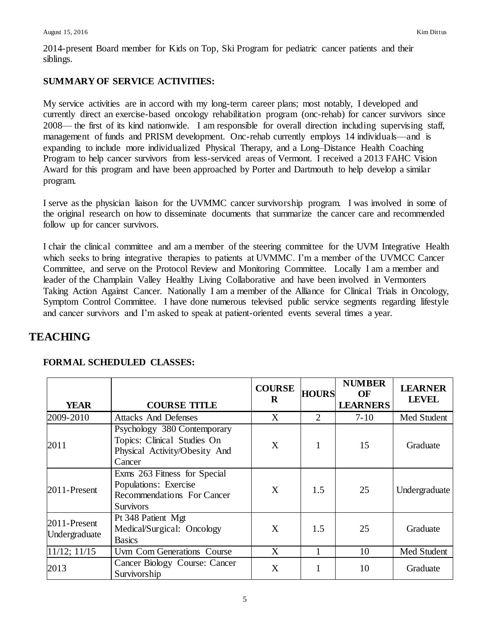2014-present Board member for Kids on Top, Ski Program for pediatric cancer patients and their siblings.

# **SUMMARY OF SERVICE ACTIVITIES:**

My service activities are in accord with my long-term career plans; most notably, I developed and currently direct an exercise-based oncology rehabilitation program (onc-rehab) for cancer survivors since 2008— the first of its kind nationwide. I am responsible for overall direction including supervising staff, management of funds and PRISM development. Onc-rehab currently employs 14 individuals—and is expanding to include more individualized Physical Therapy, and a Long–Distance Health Coaching Program to help cancer survivors from less-serviced areas of Vermont. I received a 2013 FAHC Vision Award for this program and have been approached by Porter and Dartmouth to help develop a similar program.

I serve as the physician liaison for the UVMMC cancer survivorship program. I was involved in some of the original research on how to disseminate documents that summarize the cancer care and recommended follow up for cancer survivors.

I chair the clinical committee and am a member of the steering committee for the UVM Integrative Health which seeks to bring integrative therapies to patients at UVMMC. I'm a member of the UVMCC Cancer Committee, and serve on the Protocol Review and Monitoring Committee. Locally I am a member and leader of the Champlain Valley Healthy Living Collaborative and have been involved in Vermonters Taking Action Against Cancer. Nationally I am a member of the Alliance for Clinical Trials in Oncology, Symptom Control Committee. I have done numerous televised public service segments regarding lifestyle and cancer survivors and I'm asked to speak at patient-oriented events several times a year.

# **TEACHING**

| <b>YEAR</b>                      | <b>COURSE TITLE</b>                                                                                                   | <b>COURSE</b><br>R | <b>HOURS</b>   | <b>NUMBER</b><br>OF<br><b>LEARNERS</b> | <b>LEARNER</b><br><b>LEVEL</b> |
|----------------------------------|-----------------------------------------------------------------------------------------------------------------------|--------------------|----------------|----------------------------------------|--------------------------------|
| 2009-2010                        | <b>Attacks And Defenses</b>                                                                                           | X                  | $\overline{2}$ | $7 - 10$                               | Med Student                    |
| 2011                             | Psychology 380 Contemporary<br>Topics: Clinical Studies On<br>Physical Activity/Obesity And<br>Cancer                 | X                  |                | 15                                     | Graduate                       |
| 2011-Present                     | Exms 263 Fitness for Special<br><b>Populations:</b> Exercise<br><b>Recommendations For Cancer</b><br><b>Survivors</b> | X                  | 1.5            | 25                                     | Undergraduate                  |
| $2011$ -Present<br>Undergraduate | Pt 348 Patient Mgt<br>Medical/Surgical: Oncology<br><b>Basics</b>                                                     | X                  | 1.5            | 25                                     | Graduate                       |
| $11/12$ ; $11/15$                | Uvm Com Generations Course                                                                                            | X                  |                | 10                                     | Med Student                    |
| 2013                             | Cancer Biology Course: Cancer<br>Survivorship                                                                         | X                  |                | 10                                     | Graduate                       |

# **FORMAL SCHEDULED CLASSES:**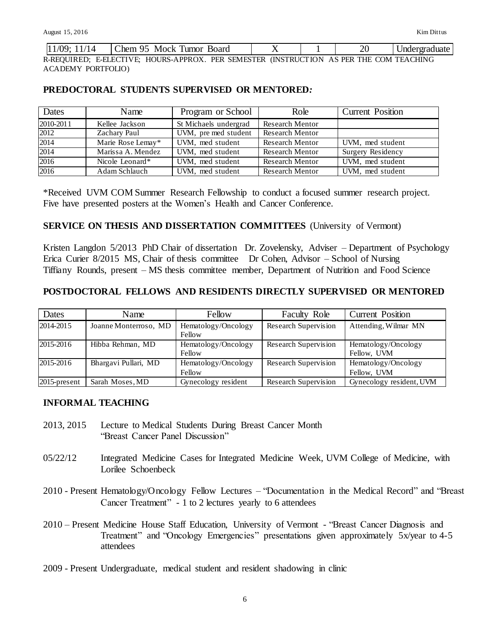| Chem<br>Mock<br>Board<br>umor<br><i>Indergraduate</i><br>-14<br>. . |
|---------------------------------------------------------------------|
|---------------------------------------------------------------------|

R-REQUIRED; E-ELECTIVE; HOURS-APPROX. PER SEMESTER (INSTRUCTION AS PER THE COM TEACHING ACADEMY PORTFOLIO)

## **PREDOCTORAL STUDENTS SUPERVISED OR MENTORED***:*

| Dates     | Name              | Program or School     | Role                   | <b>Current Position</b>  |
|-----------|-------------------|-----------------------|------------------------|--------------------------|
| 2010-2011 | Kellee Jackson    | St Michaels undergrad | <b>Research Mentor</b> |                          |
| 2012      | Zachary Paul      | UVM, pre med student  | <b>Research Mentor</b> |                          |
| 2014      | Marie Rose Lemay* | UVM, med student      | <b>Research Mentor</b> | UVM, med student         |
| 2014      | Marissa A. Mendez | UVM, med student      | <b>Research Mentor</b> | <b>Surgery Residency</b> |
| 2016      | Nicole Leonard*   | UVM, med student      | <b>Research Mentor</b> | UVM, med student         |
| 2016      | Adam Schlauch     | UVM, med student      | <b>Research Mentor</b> | UVM, med student         |

\*Received UVM COM Summer Research Fellowship to conduct a focused summer research project. Five have presented posters at the Women's Health and Cancer Conference.

#### **SERVICE ON THESIS AND DISSERTATION COMMITTEES** (University of Vermont)

Kristen Langdon 5/2013 PhD Chair of dissertation Dr. Zovelensky, Adviser – Department of Psychology Erica Curier 8/2015 MS, Chair of thesis committee Dr Cohen, Advisor – School of Nursing Tiffiany Rounds, present – MS thesis committee member, Department of Nutrition and Food Science

## **POSTDOCTORAL FELLOWS AND RESIDENTS DIRECTLY SUPERVISED OR MENTORED**

| Dates           | Name                  | Fellow                        | <b>Faculty Role</b>  | <b>Current Position</b>            |
|-----------------|-----------------------|-------------------------------|----------------------|------------------------------------|
| 2014-2015       | Joanne Monterroso, MD | Hematology/Oncology<br>Fellow | Research Supervision | Attending, Wilmar MN               |
| 2015-2016       | Hibba Rehman, MD      | Hematology/Oncology<br>Fellow | Research Supervision | Hematology/Oncology<br>Fellow, UVM |
| 2015-2016       | Bhargavi Pullari, MD  | Hematology/Oncology<br>Fellow | Research Supervision | Hematology/Oncology<br>Fellow, UVM |
| $2015$ -present | Sarah Moses, MD       | Gynecology resident           | Research Supervision | Gynecology resident, UVM           |

#### **INFORMAL TEACHING**

- 2013, 2015 Lecture to Medical Students During Breast Cancer Month "Breast Cancer Panel Discussion"
- 05/22/12 Integrated Medicine Cases for Integrated Medicine Week, UVM College of Medicine, with Lorilee Schoenbeck
- 2010 Present Hematology/Oncology Fellow Lectures "Documentation in the Medical Record" and "Breast Cancer Treatment" - 1 to 2 lectures yearly to 6 attendees
- 2010 Present Medicine House Staff Education, University of Vermont "Breast Cancer Diagnosis and Treatment" and "Oncology Emergencies" presentations given approximately 5x/year to 4-5 attendees
- 2009 Present Undergraduate, medical student and resident shadowing in clinic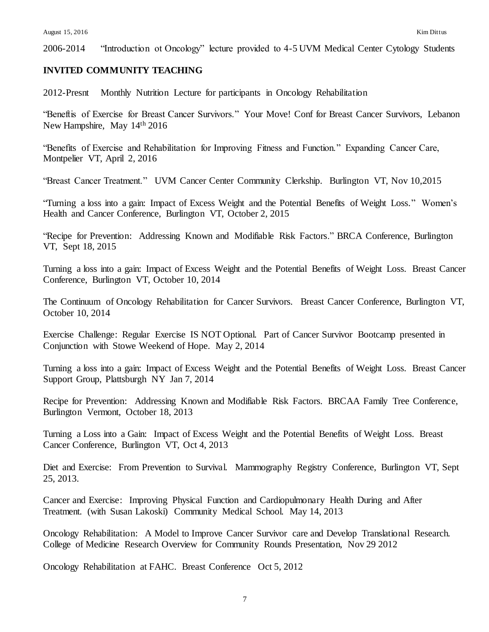2006-2014 "Introduction ot Oncology" lecture provided to 4-5 UVM Medical Center Cytology Students

#### **INVITED COMMUNITY TEACHING**

2012-Presnt Monthly Nutrition Lecture for participants in Oncology Rehabilitation

"Beneftis of Exercise for Breast Cancer Survivors." Your Move! Conf for Breast Cancer Survivors, Lebanon New Hampshire, May 14th 2016

"Benefits of Exercise and Rehabilitation for Improving Fitness and Function." Expanding Cancer Care, Montpelier VT, April 2, 2016

"Breast Cancer Treatment." UVM Cancer Center Community Clerkship. Burlington VT, Nov 10,2015

"Turning a loss into a gain: Impact of Excess Weight and the Potential Benefits of Weight Loss." Women's Health and Cancer Conference, Burlington VT, October 2, 2015

"Recipe for Prevention: Addressing Known and Modifiable Risk Factors." BRCA Conference, Burlington VT, Sept 18, 2015

Turning a loss into a gain: Impact of Excess Weight and the Potential Benefits of Weight Loss. Breast Cancer Conference, Burlington VT, October 10, 2014

The Continuum of Oncology Rehabilitation for Cancer Survivors. Breast Cancer Conference, Burlington VT, October 10, 2014

Exercise Challenge: Regular Exercise IS NOT Optional. Part of Cancer Survivor Bootcamp presented in Conjunction with Stowe Weekend of Hope. May 2, 2014

Turning a loss into a gain: Impact of Excess Weight and the Potential Benefits of Weight Loss. Breast Cancer Support Group, Plattsburgh NY Jan 7, 2014

Recipe for Prevention: Addressing Known and Modifiable Risk Factors. BRCAA Family Tree Conference, Burlington Vermont, October 18, 2013

Turning a Loss into a Gain: Impact of Excess Weight and the Potential Benefits of Weight Loss. Breast Cancer Conference, Burlington VT, Oct 4, 2013

Diet and Exercise: From Prevention to Survival. Mammography Registry Conference, Burlington VT, Sept 25, 2013.

Cancer and Exercise: Improving Physical Function and Cardiopulmonary Health During and After Treatment. (with Susan Lakoski) Community Medical School. May 14, 2013

Oncology Rehabilitation: A Model to Improve Cancer Survivor care and Develop Translational Research. College of Medicine Research Overview for Community Rounds Presentation, Nov 29 2012

Oncology Rehabilitation at FAHC. Breast Conference Oct 5, 2012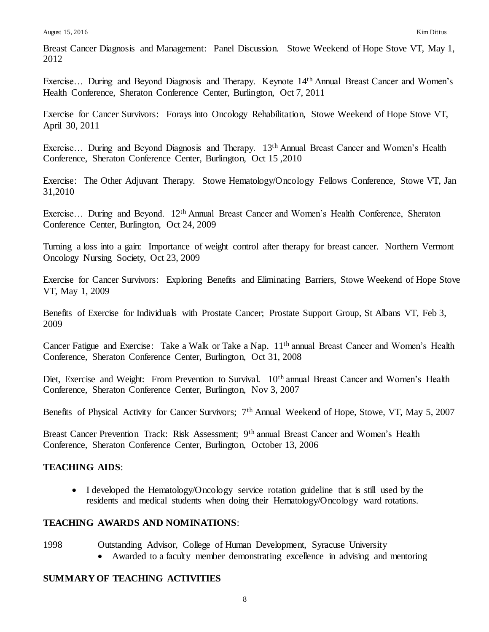Breast Cancer Diagnosis and Management: Panel Discussion. Stowe Weekend of Hope Stove VT, May 1, 2012

Exercise... During and Beyond Diagnosis and Therapy. Keynote 14<sup>th</sup> Annual Breast Cancer and Women's Health Conference, Sheraton Conference Center, Burlington, Oct 7, 2011

Exercise for Cancer Survivors: Forays into Oncology Rehabilitation, Stowe Weekend of Hope Stove VT, April 30, 2011

Exercise... During and Beyond Diagnosis and Therapy. 13<sup>th</sup> Annual Breast Cancer and Women's Health Conference, Sheraton Conference Center, Burlington, Oct 15 ,2010

Exercise: The Other Adjuvant Therapy. Stowe Hematology/Oncology Fellows Conference, Stowe VT, Jan 31,2010

Exercise... During and Beyond. 12<sup>th</sup> Annual Breast Cancer and Women's Health Conference, Sheraton Conference Center, Burlington, Oct 24, 2009

Turning a loss into a gain: Importance of weight control after therapy for breast cancer. Northern Vermont Oncology Nursing Society, Oct 23, 2009

Exercise for Cancer Survivors: Exploring Benefits and Eliminating Barriers, Stowe Weekend of Hope Stove VT, May 1, 2009

Benefits of Exercise for Individuals with Prostate Cancer; Prostate Support Group, St Albans VT, Feb 3, 2009

Cancer Fatigue and Exercise: Take a Walk or Take a Nap. 11th annual Breast Cancer and Women's Health Conference, Sheraton Conference Center, Burlington, Oct 31, 2008

Diet, Exercise and Weight: From Prevention to Survival. 10<sup>th</sup> annual Breast Cancer and Women's Health Conference, Sheraton Conference Center, Burlington, Nov 3, 2007

Benefits of Physical Activity for Cancer Survivors; 7<sup>th</sup> Annual Weekend of Hope, Stowe, VT, May 5, 2007

Breast Cancer Prevention Track: Risk Assessment; 9th annual Breast Cancer and Women's Health Conference, Sheraton Conference Center, Burlington, October 13, 2006

# **TEACHING AIDS**:

• I developed the Hematology/Oncology service rotation guideline that is still used by the residents and medical students when doing their Hematology/Oncology ward rotations.

## **TEACHING AWARDS AND NOMINATIONS**:

- 1998 Outstanding Advisor, College of Human Development, Syracuse University
	- Awarded to a faculty member demonstrating excellence in advising and mentoring

## **SUMMARY OF TEACHING ACTIVITIES**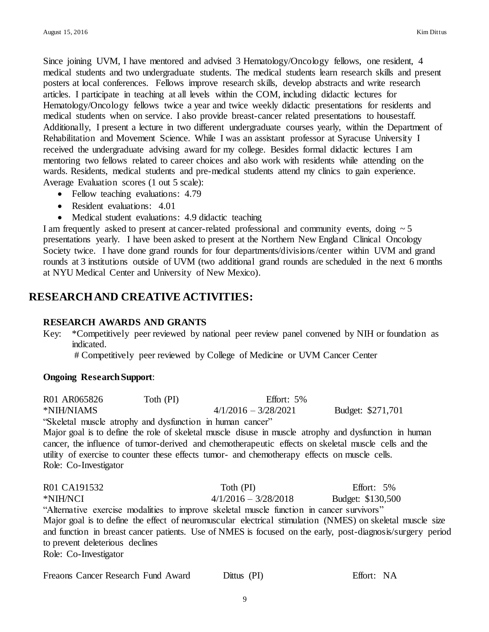Since joining UVM, I have mentored and advised 3 Hematology/Oncology fellows, one resident, 4 medical students and two undergraduate students. The medical students learn research skills and present posters at local conferences. Fellows improve research skills, develop abstracts and write research articles. I participate in teaching at all levels within the COM, including didactic lectures for Hematology/Oncology fellows twice a year and twice weekly didactic presentations for residents and medical students when on service. I also provide breast-cancer related presentations to housestaff. Additionally, I present a lecture in two different undergraduate courses yearly, within the Department of Rehabilitation and Movement Science. While I was an assistant professor at Syracuse University I received the undergraduate advising award for my college. Besides formal didactic lectures I am mentoring two fellows related to career choices and also work with residents while attending on the wards. Residents, medical students and pre-medical students attend my clinics to gain experience. Average Evaluation scores (1 out 5 scale):

- Fellow teaching evaluations: 4.79
- Resident evaluations: 4.01
- Medical student evaluations: 4.9 didactic teaching

I am frequently asked to present at cancer-related professional and community events, doing  $\sim$  5 presentations yearly. I have been asked to present at the Northern New England Clinical Oncology Society twice. I have done grand rounds for four departments/divisions/center within UVM and grand rounds at 3 institutions outside of UVM (two additional grand rounds are scheduled in the next 6 months at NYU Medical Center and University of New Mexico).

# **RESEARCH AND CREATIVE ACTIVITIES:**

## **RESEARCH AWARDS AND GRANTS**

Key: \*Competitively peer reviewed by national peer review panel convened by NIH or foundation as indicated.

# Competitively peer reviewed by College of Medicine or UVM Cancer Center

#### **Ongoing Research Support**:

R01 AR065826 Toth (PI) Effort: 5% \*NIH/NIAMS 4/1/2016 – 3/28/2021 Budget: \$271,701

"Skeletal muscle atrophy and dysfunction in human cancer"

Major goal is to define the role of skeletal muscle disuse in muscle atrophy and dysfunction in human cancer, the influence of tumor-derived and chemotherapeutic effects on skeletal muscle cells and the utility of exercise to counter these effects tumor- and chemotherapy effects on muscle cells. Role: Co-Investigator

R01 CA191532 Toth (PI) Effort: 5% \*NIH/NCI 4/1/2016 – 3/28/2018 Budget: \$130,500 "Alternative exercise modalities to improve skeletal muscle function in cancer survivors" Major goal is to define the effect of neuromuscular electrical stimulation (NMES) on skeletal muscle size and function in breast cancer patients. Use of NMES is focused on the early, post-diagnosis/surgery period to prevent deleterious declines Role: Co-Investigator

| Freaons Cancer Research Fund Award | Dittus (PI) | Effort: NA |
|------------------------------------|-------------|------------|
|------------------------------------|-------------|------------|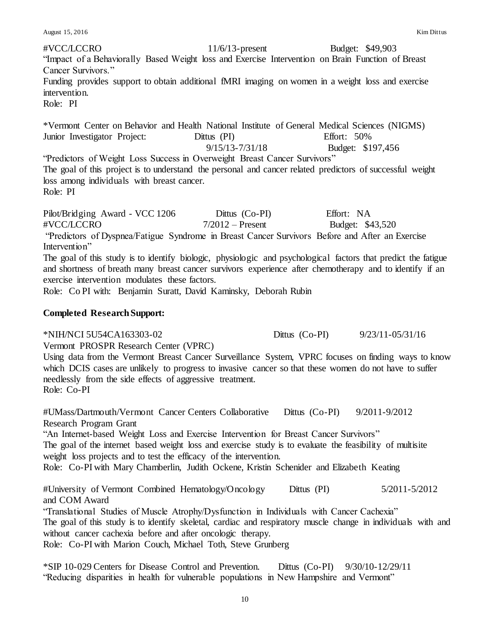August 15, 2016 Kim Dittus

#VCC/LCCRO 11/6/13-present Budget: \$49,903 "Impact of a Behaviorally Based Weight loss and Exercise Intervention on Brain Function of Breast Cancer Survivors." Funding provides support to obtain additional fMRI imaging on women in a weight loss and exercise intervention. Role: PI

\*Vermont Center on Behavior and Health National Institute of General Medical Sciences (NIGMS) Junior Investigator Project: Dittus (PI) Effort: 50% 9/15/13-7/31/18 Budget: \$197,456 "Predictors of Weight Loss Success in Overweight Breast Cancer Survivors" The goal of this project is to understand the personal and cancer related predictors of successful weight loss among individuals with breast cancer.

Role: PI

Pilot/Bridging Award - VCC 1206 Dittus (Co-PI) Effort: NA #VCC/LCCRO 7/2012 – Present Budget: \$43,520 "Predictors of Dyspnea/Fatigue Syndrome in Breast Cancer Survivors Before and After an Exercise Intervention"

The goal of this study is to identify biologic, physiologic and psychological factors that predict the fatigue and shortness of breath many breast cancer survivors experience after chemotherapy and to identify if an exercise intervention modulates these factors.

Role: Co PI with: Benjamin Suratt, David Kaminsky, Deborah Rubin

## **Completed Research Support:**

\*NIH/NCI 5U54CA163303-02 Dittus (Co-PI) 9/23/11-05/31/16

Vermont PROSPR Research Center (VPRC)

Using data from the Vermont Breast Cancer Surveillance System, VPRC focuses on finding ways to know which DCIS cases are unlikely to progress to invasive cancer so that these women do not have to suffer needlessly from the side effects of aggressive treatment. Role: Co-PI

#UMass/Dartmouth/Vermont Cancer Centers Collaborative Dittus (Co-PI) 9/2011-9/2012 Research Program Grant

"An Internet-based Weight Loss and Exercise Intervention for Breast Cancer Survivors" The goal of the internet based weight loss and exercise study is to evaluate the feasibility of multisite weight loss projects and to test the efficacy of the intervention.

Role: Co-PI with Mary Chamberlin, Judith Ockene, Kristin Schenider and Elizabeth Keating

#University of Vermont Combined Hematology/Oncology Dittus (PI) 5/2011-5/2012 and COM Award

"Translational Studies of Muscle Atrophy/Dysfunction in Individuals with Cancer Cachexia" The goal of this study is to identify skeletal, cardiac and respiratory muscle change in individuals with and without cancer cachexia before and after oncologic therapy. Role: Co-PI with Marion Couch, Michael Toth, Steve Grunberg

\*SIP 10-029 Centers for Disease Control and Prevention. Dittus (Co-PI) 9/30/10-12/29/11 "Reducing disparities in health for vulnerable populations in New Hampshire and Vermont"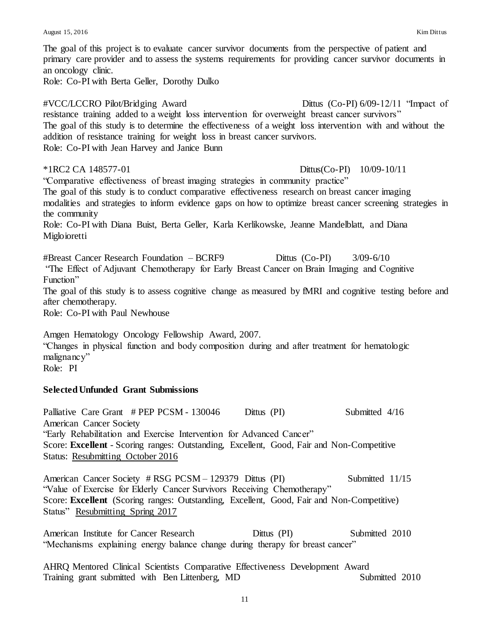The goal of this project is to evaluate cancer survivor documents from the perspective of patient and primary care provider and to assess the systems requirements for providing cancer survivor documents in an oncology clinic. Role: Co-PI with Berta Geller, Dorothy Dulko #VCC/LCCRO Pilot/Bridging Award Dittus (Co-PI) 6/09-12/11 "Impact of resistance training added to a weight loss intervention for overweight breast cancer survivors" The goal of this study is to determine the effectiveness of a weight loss intervention with and without the addition of resistance training for weight loss in breast cancer survivors. Role: Co-PI with Jean Harvey and Janice Bunn \*1RC2 CA 148577-01 Dittus(Co-PI) 10/09-10/11 "Comparative effectiveness of breast imaging strategies in community practice" The goal of this study is to conduct comparative effectiveness research on breast cancer imaging modalities and strategies to inform evidence gaps on how to optimize breast cancer screening strategies in the community Role: Co-PI with Diana Buist, Berta Geller, Karla Kerlikowske, Jeanne Mandelblatt, and Diana Migloioretti #Breast Cancer Research Foundation – BCRF9 Dittus (Co-PI) 3/09-6/10 "The Effect of Adjuvant Chemotherapy for Early Breast Cancer on Brain Imaging and Cognitive Function" The goal of this study is to assess cognitive change as measured by fMRI and cognitive testing before and after chemotherapy. Role: Co-PI with Paul Newhouse Amgen Hematology Oncology Fellowship Award, 2007. "Changes in physical function and body composition during and after treatment for hematologic malignancy" Role: PI **Selected Unfunded Grant Submissions**  Palliative Care Grant # PEP PCSM - 130046 Dittus (PI) Submitted 4/16 American Cancer Society "Early Rehabilitation and Exercise Intervention for Advanced Cancer" Score: **Excellent** - Scoring ranges: Outstanding, Excellent, Good, Fair and Non-Competitive Status: Resubmitting October 2016 American Cancer Society # RSG PCSM – 129379 Dittus (PI) Submitted 11/15 "Value of Exercise for Elderly Cancer Survivors Receiving Chemotherapy" Score: **Excellent** (Scoring ranges: Outstanding, Excellent, Good, Fair and Non-Competitive) Status" Resubmitting Spring 2017

American Institute for Cancer Research Dittus (PI) Submitted 2010 "Mechanisms explaining energy balance change during therapy for breast cancer"

AHRQ Mentored Clinical Scientists Comparative Effectiveness Development Award Training grant submitted with Ben Littenberg, MD Submitted 2010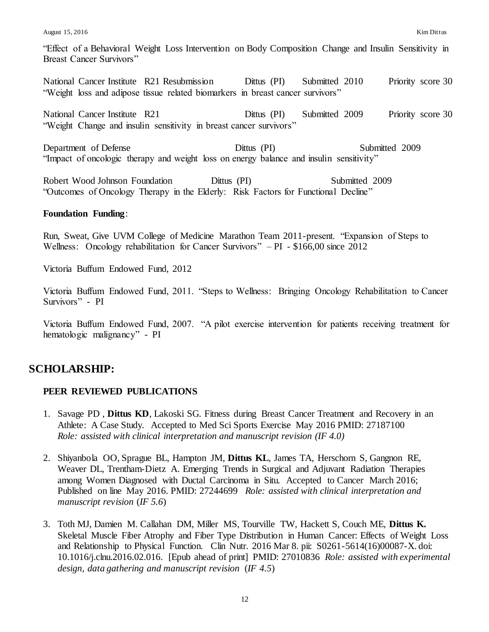August 15, 2016 Kim Dittus

"Effect of a Behavioral Weight Loss Intervention on Body Composition Change and Insulin Sensitivity in Breast Cancer Survivors"

National Cancer Institute R21 Resubmission Dittus (PI) Submitted 2010 Priority score 30 "Weight loss and adipose tissue related biomarkers in breast cancer survivors"

National Cancer Institute R21 Dittus (PI) Submitted 2009 Priority score 30 "Weight Change and insulin sensitivity in breast cancer survivors"

Department of Defense Dittus (PI) Submitted 2009 "Impact of oncologic therapy and weight loss on energy balance and insulin sensitivity"

Robert Wood Johnson Foundation Dittus (PI) Submitted 2009 "Outcomes of Oncology Therapy in the Elderly: Risk Factors for Functional Decline"

## **Foundation Funding**:

Run, Sweat, Give UVM College of Medicine Marathon Team 2011-present. "Expansion of Steps to Wellness: Oncology rehabilitation for Cancer Survivors" – PI - \$166,00 since 2012

Victoria Buffum Endowed Fund, 2012

Victoria Buffum Endowed Fund, 2011. "Steps to Wellness: Bringing Oncology Rehabilitation to Cancer Survivors" - PI

Victoria Buffum Endowed Fund, 2007. "A pilot exercise intervention for patients receiving treatment for hematologic malignancy" - PI

# **SCHOLARSHIP:**

## **PEER REVIEWED PUBLICATIONS**

- 1. Savage PD , **Dittus KD**, Lakoski SG. Fitness during Breast Cancer Treatment and Recovery in an Athlete: A Case Study. Accepted to Med Sci Sports Exercise May 2016 PMID: 27187100 *Role: assisted with clinical interpretation and manuscript revision (IF 4.0)*
- 2. Shiyanbola OO, Sprague BL, Hampton JM, **Dittus KL**, James TA, Herschorn S, Gangnon RE, Weaver DL, Trentham-Dietz A. Emerging Trends in Surgical and Adjuvant Radiation Therapies among Women Diagnosed with Ductal Carcinoma in Situ. Accepted to Cancer March 2016; Published on line May 2016. PMID: 27244699 *Role: assisted with clinical interpretation and manuscript revision* (*IF 5.6*)
- 3. Toth MJ, Damien M. Callahan DM, Miller MS, Tourville TW, Hackett S, Couch ME, **Dittus K.**  Skeletal Muscle Fiber Atrophy and Fiber Type Distribution in Human Cancer: Effects of Weight Loss and Relationship to Physical Function. Clin Nutr. 2016 Mar 8. pii: S0261-5614(16)00087-X. doi: 10.1016/j.clnu.2016.02.016. [Epub ahead of print] PMID: 27010836 *Role: assisted with experimental design, data gathering and manuscript revision* (*IF 4.5*)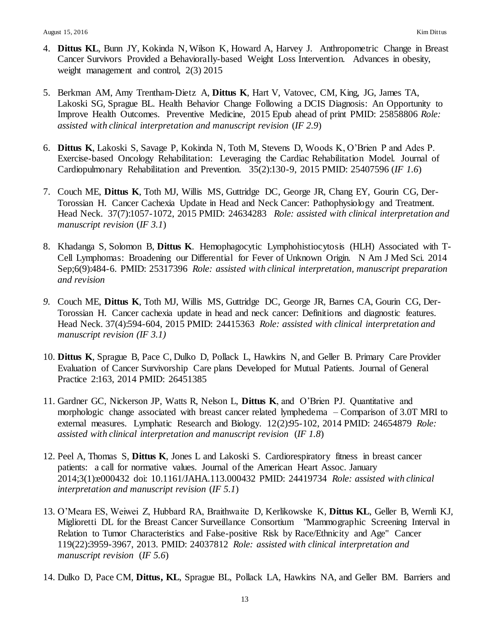- 4. **Dittus KL**, Bunn JY, Kokinda N, Wilson K, Howard A, Harvey J. Anthropometric Change in Breast Cancer Survivors Provided a Behaviorally-based Weight Loss Intervention. Advances in obesity, weight management and control, 2(3) 2015
- 5. Berkman AM, Amy Trentham-Dietz A, **Dittus K**, Hart V, Vatovec, CM, King, JG, James TA, Lakoski SG, Sprague BL. Health Behavior Change Following a DCIS Diagnosis: An Opportunity to Improve Health Outcomes. Preventive Medicine, 2015 Epub ahead of print PMID: 25858806 *Role: assisted with clinical interpretation and manuscript revision* (*IF 2.9*)
- 6. **Dittus K**, Lakoski S, Savage P, Kokinda N, Toth M, Stevens D, Woods K, O'Brien P and Ades P. Exercise-based Oncology Rehabilitation: Leveraging the Cardiac Rehabilitation Model. Journal of Cardiopulmonary Rehabilitation and Prevention. 35(2):130-9, 2015 PMID: 25407596 (*IF 1.6*)
- 7. Couch ME, **Dittus K**, Toth MJ, Willis MS, Guttridge DC, George JR, Chang EY, Gourin CG, Der-Torossian H. Cancer Cachexia Update in Head and Neck Cancer: Pathophysiology and Treatment. Head Neck. 37(7):1057-1072, 2015 PMID: 24634283 *Role: assisted with clinical interpretation and manuscript revision* (*IF 3.1*)
- 8. Khadanga S, Solomon B, **Dittus K**. Hemophagocytic Lymphohistiocytosis (HLH) Associated with T-Cell Lymphomas: Broadening our Differential for Fever of Unknown Origin. N Am J Med Sci. 2014 Sep;6(9):484-6. PMID: 25317396 *Role: assisted with clinical interpretation, manuscript preparation and revision*
- *9.* Couch ME, **Dittus K**, Toth MJ, Willis MS, Guttridge DC, George JR, Barnes CA, Gourin CG, Der-Torossian H. Cancer cachexia update in head and neck cancer: Definitions and diagnostic features. Head Neck. 37(4):594-604, 2015 PMID: 24415363 *Role: assisted with clinical interpretation and manuscript revision (IF 3.1)*
- 10. **Dittus K**, Sprague B, Pace C, Dulko D, Pollack L, Hawkins N, and Geller B. Primary Care Provider Evaluation of Cancer Survivorship Care plans Developed for Mutual Patients. Journal of General Practice 2:163, 2014 PMID: 26451385
- 11. Gardner GC, Nickerson JP, Watts R, Nelson L, **Dittus K**, and O'Brien PJ. Quantitative and morphologic change associated with breast cancer related lymphedema – Comparison of 3.0T MRI to external measures. Lymphatic Research and Biology. 12(2):95-102, 2014 PMID: 24654879 *Role: assisted with clinical interpretation and manuscript revision* (*IF 1.8*)
- 12. Peel A, Thomas S, **Dittus K**, Jones L and Lakoski S. Cardiorespiratory fitness in breast cancer patients: a call for normative values. Journal of the American Heart Assoc. January 2014;3(1):e000432 doi: 10.1161/JAHA.113.000432 PMID: 24419734 *Role: assisted with clinical interpretation and manuscript revision* (*IF 5.1*)
- 13. O'Meara ES, Weiwei Z, Hubbard RA, Braithwaite D, Kerlikowske K, **Dittus KL**, Geller B, Wernli KJ, Miglioretti DL for the Breast Cancer Surveillance Consortium "Mammographic Screening Interval in Relation to Tumor Characteristics and False-positive Risk by Race/Ethnicity and Age" Cancer 119(22):3959-3967, 2013. PMID: 24037812 *Role: assisted with clinical interpretation and manuscript revision* (*IF 5.6*)
- 14. Dulko D, Pace CM, **Dittus, KL**, Sprague BL, Pollack LA, Hawkins NA, and Geller BM. Barriers and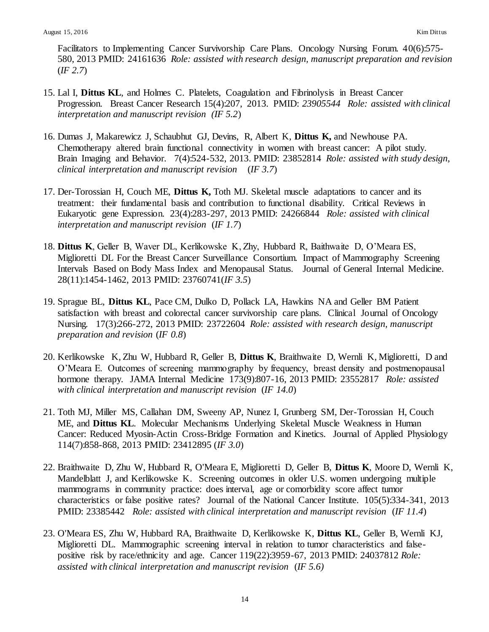Facilitators to Implementing Cancer Survivorship Care Plans. Oncology Nursing Forum. 40(6):575- 580, 2013 PMID: 24161636 *Role: assisted with research design, manuscript preparation and revision* (*IF 2.7*)

- 15. Lal I, **Dittus KL**, and Holmes C. Platelets, Coagulation and Fibrinolysis in Breast Cancer Progression. Breast Cancer Research 15(4):207, 2013. PMID: *23905544 Role: assisted with clinical interpretation and manuscript revision (IF 5.2*)
- 16. Dumas J, Makarewicz J, Schaubhut GJ, Devins, R, Albert K, **Dittus K,** and Newhouse PA. Chemotherapy altered brain functional connectivity in women with breast cancer: A pilot study. Brain Imaging and Behavior. 7(4):524-532, 2013. PMID: 23852814 *Role: assisted with study design, clinical interpretation and manuscript revision* (*IF 3.7*)
- 17. Der-Torossian H, Couch ME, **Dittus K,** Toth MJ. Skeletal muscle adaptations to cancer and its treatment: their fundamental basis and contribution to functional disability. Critical Reviews in Eukaryotic gene Expression. 23(4):283-297, 2013 PMID: 24266844 *Role: assisted with clinical interpretation and manuscript revision* (*IF 1.7*)
- 18. **Dittus K**, Geller B, Waver DL, Kerlikowske K, Zhy, Hubbard R, Baithwaite D, O'Meara ES, Miglioretti DL For the Breast Cancer Surveillance Consortium. Impact of Mammography Screening Intervals Based on Body Mass Index and Menopausal Status. Journal of General Internal Medicine. 28(11):1454-1462, 2013 PMID: 23760741(*IF 3.5*)
- 19. Sprague BL, **Dittus KL**, Pace CM, Dulko D, Pollack LA, Hawkins NA and Geller BM Patient satisfaction with breast and colorectal cancer survivorship care plans. Clinical Journal of Oncology Nursing. 17(3):266-272, 2013 PMID: 23722604 *Role: assisted with research design, manuscript preparation and revision* (*IF 0.8*)
- 20. Kerlikowske K, Zhu W, Hubbard R, Geller B, **Dittus K**, Braithwaite D, Wernli K, Miglioretti, D and O'Meara E. Outcomes of screening mammography by frequency, breast density and postmenopausal hormone therapy. JAMA Internal Medicine 173(9):807-16, 2013 PMID: 23552817 *Role: assisted with clinical interpretation and manuscript revision* (*IF 14.0*)
- 21. Toth MJ, Miller MS, Callahan DM, Sweeny AP, Nunez I, Grunberg SM, Der-Torossian H, Couch ME, and **Dittus KL**. Molecular Mechanisms Underlying Skeletal Muscle Weakness in Human Cancer: Reduced Myosin-Actin Cross-Bridge Formation and Kinetics. Journal of Applied Physiology 114(7):858-868, 2013 PMID: 23412895 (*IF 3.0*)
- 22. Braithwaite D, Zhu W, Hubbard R, O'Meara E, Miglioretti D, Geller B, **Dittus K**, Moore D, Wernli K, Mandelblatt J, and Kerlikowske K. Screening outcomes in older U.S. women undergoing multiple mammograms in community practice: does interval, age or comorbidity score affect tumor characteristics or false positive rates? Journal of the National Cancer Institute. 105(5):334-341, 2013 PMID: 23385442 *Role: assisted with clinical interpretation and manuscript revision* (*IF 11.4*)
- 23. O'Meara ES, Zhu W, Hubbard RA, Braithwaite D, Kerlikowske K, **Dittus KL**, Geller B, Wernli KJ, Miglioretti DL. Mammographic screening interval in relation to tumor characteristics and falsepositive risk by race/ethnicity and age. Cancer 119(22):3959-67, 2013 PMID: 24037812 *Role: assisted with clinical interpretation and manuscript revision* (*IF 5.6)*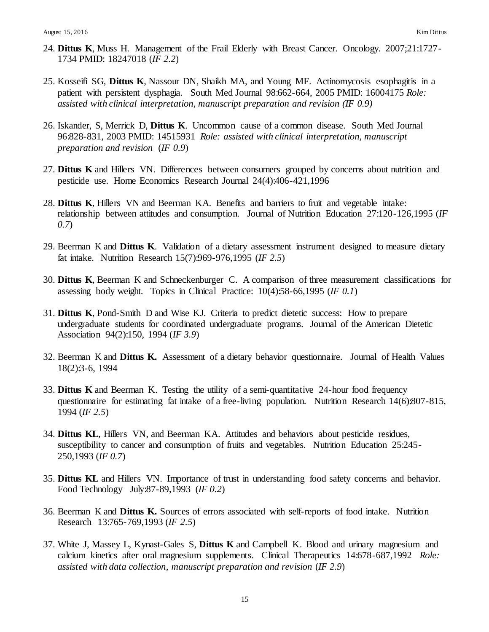- 24. **Dittus K**, Muss H. Management of the Frail Elderly with Breast Cancer. Oncology. 2007;21:1727- 1734 PMID: 18247018 (*IF 2.2*)
- 25. Kosseifi SG, **Dittus K**, Nassour DN, Shaikh MA, and Young MF. Actinomycosis esophagitis in a patient with persistent dysphagia. South Med Journal 98:662-664, 2005 PMID: 16004175 *Role: assisted with clinical interpretation, manuscript preparation and revision (IF 0.9)*
- 26. Iskander, S, Merrick D, **Dittus K**. Uncommon cause of a common disease. South Med Journal 96:828-831, 2003 PMID: 14515931 *Role: assisted with clinical interpretation, manuscript preparation and revision* (*IF 0.9*)
- 27. **Dittus K** and Hillers VN. Differences between consumers grouped by concerns about nutrition and pesticide use. Home Economics Research Journal 24(4):406-421,1996
- 28. **Dittus K**, Hillers VN and Beerman KA. Benefits and barriers to fruit and vegetable intake: relationship between attitudes and consumption. Journal of Nutrition Education 27:120-126,1995 (*IF 0.7*)
- 29. Beerman K and **Dittus K**. Validation of a dietary assessment instrument designed to measure dietary fat intake. Nutrition Research 15(7):969-976,1995 (*IF 2.5*)
- 30. **Dittus K**, Beerman K and Schneckenburger C. A comparison of three measurement classifications for assessing body weight. Topics in Clinical Practice: 10(4):58-66,1995 (*IF 0.1*)
- 31. **Dittus K**, Pond-Smith D and Wise KJ. Criteria to predict dietetic success: How to prepare undergraduate students for coordinated undergraduate programs. Journal of the American Dietetic Association 94(2):150, 1994 (*IF 3.9*)
- 32. Beerman K and **Dittus K.** Assessment of a dietary behavior questionnaire. Journal of Health Values 18(2):3-6, 1994
- 33. **Dittus K** and Beerman K. Testing the utility of a semi-quantitative 24-hour food frequency questionnaire for estimating fat intake of a free-living population. Nutrition Research 14(6):807-815, 1994 (*IF 2.5*)
- 34. **Dittus KL**, Hillers VN, and Beerman KA. Attitudes and behaviors about pesticide residues, susceptibility to cancer and consumption of fruits and vegetables. Nutrition Education 25:245-250,1993 (*IF 0.7*)
- 35. **Dittus KL** and Hillers VN. Importance of trust in understanding food safety concerns and behavior. Food Technology July:87-89,1993 (*IF 0.2*)
- 36. Beerman K and **Dittus K.** Sources of errors associated with self-reports of food intake. Nutrition Research 13:765-769,1993 (*IF 2.5*)
- 37. White J, Massey L, Kynast-Gales S, **Dittus K** and Campbell K. Blood and urinary magnesium and calcium kinetics after oral magnesium supplements. Clinical Therapeutics 14:678-687,1992 *Role: assisted with data collection, manuscript preparation and revision* (*IF 2.9*)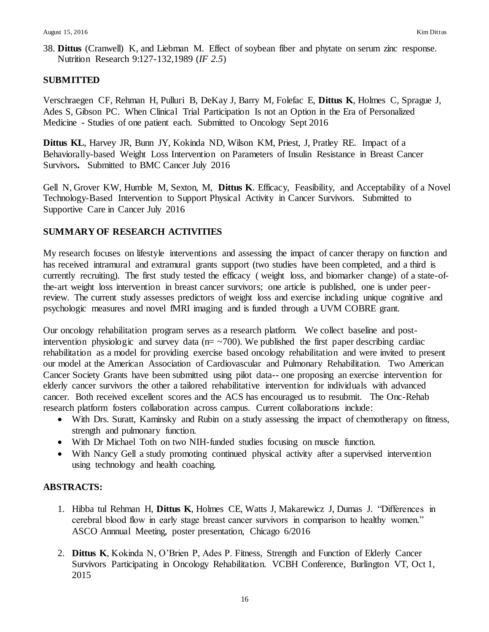38. **Dittus** (Cranwell) K, and Liebman M. Effect of soybean fiber and phytate on serum zinc response. Nutrition Research 9:127-132,1989 (*IF 2.5*)

## **SUBMITTED**

Verschraegen CF, Rehman H, Pulluri B, DeKay J, Barry M, Folefac E, **Dittus K**, Holmes C, Sprague J, Ades S, Gibson PC. When Clinical Trial Participation Is not an Option in the Era of Personalized Medicine - Studies of one patient each. Submitted to Oncology Sept 2016

**Dittus KL**, Harvey JR, Bunn JY, Kokinda ND, Wilson KM, Priest, J, Pratley RE. Impact of a Behaviorally-based Weight Loss Intervention on Parameters of Insulin Resistance in Breast Cancer Survivors**.** Submitted to BMC Cancer July 2016

Gell N, Grover KW, Humble M, Sexton, M, **Dittus K**. Efficacy, Feasibility, and Acceptability of a Novel Technology-Based Intervention to Support Physical Activity in Cancer Survivors. Submitted to Supportive Care in Cancer July 2016

# **SUMMARY OF RESEARCH ACTIVITIES**

My research focuses on lifestyle interventions and assessing the impact of cancer therapy on function and has received intramural and extramural grants support (two studies have been completed, and a third is currently recruiting). The first study tested the efficacy ( weight loss, and biomarker change) of a state-ofthe-art weight loss intervention in breast cancer survivors; one article is published, one is under peerreview. The current study assesses predictors of weight loss and exercise including unique cognitive and psychologic measures and novel fMRI imaging and is funded through a UVM COBRE grant.

Our oncology rehabilitation program serves as a research platform. We collect baseline and postintervention physiologic and survey data ( $n = -700$ ). We published the first paper describing cardiac rehabilitation as a model for providing exercise based oncology rehabilitation and were invited to present our model at the American Association of Cardiovascular and Pulmonary Rehabilitation. Two American Cancer Society Grants have been submitted using pilot data-- one proposing an exercise intervention for elderly cancer survivors the other a tailored rehabilitative intervention for individuals with advanced cancer. Both received excellent scores and the ACS has encouraged us to resubmit. The Onc-Rehab research platform fosters collaboration across campus. Current collaborations include:

- With Drs. Suratt, Kaminsky and Rubin on a study assessing the impact of chemotherapy on fitness, strength and pulmonary function.
- With Dr Michael Toth on two NIH-funded studies focusing on muscle function.
- With Nancy Gell a study promoting continued physical activity after a supervised intervention using technology and health coaching.

## **ABSTRACTS:**

- 1. Hibba tul Rehman H, **Dittus K**, Holmes CE, Watts J, Makarewicz J, Dumas J. "Differences in cerebral blood flow in early stage breast cancer survivors in comparison to healthy women." ASCO Annnual Meeting, poster presentation, Chicago 6/2016
- 2. **Dittus K**, Kokinda N, O'Brien P, Ades P. Fitness, Strength and Function of Elderly Cancer Survivors Participating in Oncology Rehabilitation. VCBH Conference, Burlington VT, Oct 1, 2015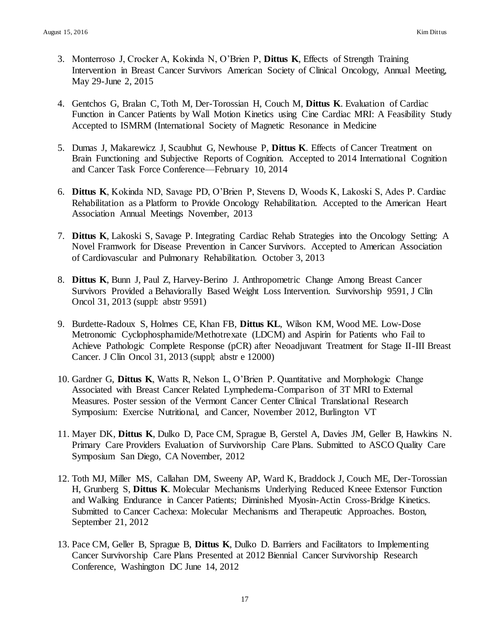- 3. Monterroso J, Crocker A, Kokinda N, O'Brien P, **Dittus K**, Effects of Strength Training Intervention in Breast Cancer Survivors American Society of Clinical Oncology, Annual Meeting, May 29-June 2, 2015
- 4. Gentchos G, Bralan C, Toth M, Der-Torossian H, Couch M, **Dittus K**. Evaluation of Cardiac Function in Cancer Patients by Wall Motion Kinetics using Cine Cardiac MRI: A Feasibility Study Accepted to ISMRM (International Society of Magnetic Resonance in Medicine
- 5. Dumas J, Makarewicz J, Scaubhut G, Newhouse P, **Dittus K**. Effects of Cancer Treatment on Brain Functioning and Subjective Reports of Cognition. Accepted to 2014 International Cognition and Cancer Task Force Conference—February 10, 2014
- 6. **Dittus K**, Kokinda ND, Savage PD, O'Brien P, Stevens D, Woods K, Lakoski S, Ades P. Cardiac Rehabilitation as a Platform to Provide Oncology Rehabilitation. Accepted to the American Heart Association Annual Meetings November, 2013
- 7. **Dittus K**, Lakoski S, Savage P. Integrating Cardiac Rehab Strategies into the Oncology Setting: A Novel Framwork for Disease Prevention in Cancer Survivors. Accepted to American Association of Cardiovascular and Pulmonary Rehabilitation. October 3, 2013
- 8. **Dittus K**, Bunn J, Paul Z, Harvey-Berino J. Anthropometric Change Among Breast Cancer Survivors Provided a Behaviorally Based Weight Loss Intervention. Survivorship 9591, J Clin Oncol 31, 2013 (suppl: abstr 9591)
- 9. Burdette-Radoux S, Holmes CE, Khan FB, **Dittus KL**, Wilson KM, Wood ME. Low-Dose Metronomic Cyclophosphamide/Methotrexate (LDCM) and Aspirin for Patients who Fail to Achieve Pathologic Complete Response (pCR) after Neoadjuvant Treatment for Stage II-III Breast Cancer. J Clin Oncol 31, 2013 (suppl; abstr e 12000)
- 10. Gardner G, **Dittus K**, Watts R, Nelson L, O'Brien P. Quantitative and Morphologic Change Associated with Breast Cancer Related Lymphedema-Comparison of 3T MRI to External Measures. Poster session of the Vermont Cancer Center Clinical Translational Research Symposium: Exercise Nutritional, and Cancer, November 2012, Burlington VT
- 11. Mayer DK, **Dittus K**, Dulko D, Pace CM, Sprague B, Gerstel A, Davies JM, Geller B, Hawkins N. Primary Care Providers Evaluation of Survivorship Care Plans. Submitted to ASCO Quality Care Symposium San Diego, CA November, 2012
- 12. Toth MJ, Miller MS, Callahan DM, Sweeny AP, Ward K, Braddock J, Couch ME, Der-Torossian H, Grunberg S, **Dittus K**. Molecular Mechanisms Underlying Reduced Kneee Extensor Function and Walking Endurance in Cancer Patients; Diminished Myosin-Actin Cross-Bridge Kinetics. Submitted to Cancer Cachexa: Molecular Mechanisms and Therapeutic Approaches. Boston, September 21, 2012
- 13. Pace CM, Geller B, Sprague B, **Dittus K**, Dulko D. Barriers and Facilitators to Implementing Cancer Survivorship Care Plans Presented at 2012 Biennial Cancer Survivorship Research Conference, Washington DC June 14, 2012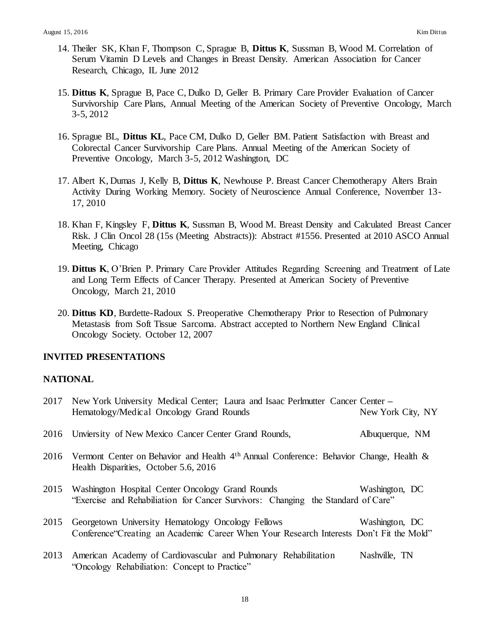- 14. Theiler SK, Khan F, Thompson C, Sprague B, **Dittus K**, Sussman B, Wood M. Correlation of Serum Vitamin D Levels and Changes in Breast Density. American Association for Cancer Research, Chicago, IL June 2012
- 15. **Dittus K**, Sprague B, Pace C, Dulko D, Geller B. Primary Care Provider Evaluation of Cancer Survivorship Care Plans, Annual Meeting of the American Society of Preventive Oncology, March 3-5, 2012
- 16. Sprague BL, **Dittus KL**, Pace CM, Dulko D, Geller BM. Patient Satisfaction with Breast and Colorectal Cancer Survivorship Care Plans. Annual Meeting of the American Society of Preventive Oncology, March 3-5, 2012 Washington, DC
- 17. Albert K, Dumas J, Kelly B, **Dittus K**, Newhouse P. Breast Cancer Chemotherapy Alters Brain Activity During Working Memory. Society of Neuroscience Annual Conference, November 13- 17, 2010
- 18. Khan F, Kingsley F, **Dittus K**, Sussman B, Wood M. Breast Density and Calculated Breast Cancer Risk. J Clin Oncol 28 (15s (Meeting Abstracts)): Abstract #1556. Presented at 2010 ASCO Annual Meeting, Chicago
- 19. **Dittus K**, O'Brien P. Primary Care Provider Attitudes Regarding Screening and Treatment of Late and Long Term Effects of Cancer Therapy. Presented at American Society of Preventive Oncology, March 21, 2010
- 20. **Dittus KD**, Burdette-Radoux S. Preoperative Chemotherapy Prior to Resection of Pulmonary Metastasis from Soft Tissue Sarcoma. Abstract accepted to Northern New England Clinical Oncology Society. October 12, 2007

## **INVITED PRESENTATIONS**

#### **NATIONAL**

|      | 2017 New York University Medical Center; Laura and Isaac Perlmutter Cancer Center –<br>Hematology/Medical Oncology Grand Rounds              | New York City, NY |
|------|----------------------------------------------------------------------------------------------------------------------------------------------|-------------------|
|      | 2016 Unviersity of New Mexico Cancer Center Grand Rounds,                                                                                    | Albuquerque, NM   |
|      | 2016 Vermont Center on Behavior and Health $4th$ Annual Conference: Behavior Change, Health &<br>Health Disparities, October 5.6, 2016       |                   |
| 2015 | Washington Hospital Center Oncology Grand Rounds<br>"Exercise and Rehabiliation for Cancer Survivors: Changing the Standard of Care"         | Washington, DC    |
| 2015 | Georgetown University Hematology Oncology Fellows<br>Conference Creating an Academic Career When Your Research Interests Don't Fit the Mold" | Washington, DC    |
| 2013 | American Academy of Cardiovascular and Pulmonary Rehabilitation<br>"Oncology Rehabiliation: Concept to Practice"                             | Nashville, TN     |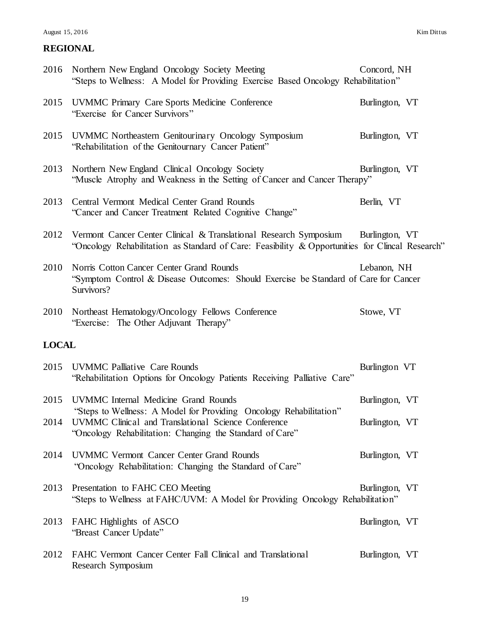#### August 15, 2016 Kim Dittus

|              | 2016 Northern New England Oncology Society Meeting<br>"Steps to Wellness: A Model for Providing Exercise Based Oncology Rehabilitation"                                               | Concord, NH    |  |
|--------------|---------------------------------------------------------------------------------------------------------------------------------------------------------------------------------------|----------------|--|
|              | 2015 UVMMC Primary Care Sports Medicine Conference<br>"Exercise for Cancer Survivors"                                                                                                 | Burlington, VT |  |
| 2015         | UVMMC Northeastern Genitourinary Oncology Symposium<br>"Rehabilitation of the Genitournary Cancer Patient"                                                                            | Burlington, VT |  |
|              | 2013 Northern New England Clinical Oncology Society<br>"Muscle Atrophy and Weakness in the Setting of Cancer and Cancer Therapy"                                                      | Burlington, VT |  |
| 2013         | Central Vermont Medical Center Grand Rounds<br>"Cancer and Cancer Treatment Related Cognitive Change"                                                                                 | Berlin, VT     |  |
|              | 2012 Vermont Cancer Center Clinical & Translational Research Symposium<br>"Oncology Rehabilitation as Standard of Care: Feasibility & Opportunities for Clincal Research"             | Burlington, VT |  |
| 2010         | Norris Cotton Cancer Center Grand Rounds<br>"Symptom Control & Disease Outcomes: Should Exercise be Standard of Care for Cancer<br>Survivors?                                         | Lebanon, NH    |  |
|              | 2010 Northeast Hematology/Oncology Fellows Conference<br>"Exercise: The Other Adjuvant Therapy"                                                                                       | Stowe, VT      |  |
| <b>LOCAL</b> |                                                                                                                                                                                       |                |  |
|              | 2015 UVMMC Palliative Care Rounds<br>"Rehabilitation Options for Oncology Patients Receiving Palliative Care"                                                                         | Burlington VT  |  |
| 2015         | <b>UVMMC</b> Internal Medicine Grand Rounds                                                                                                                                           | Burlington, VT |  |
| 2014         | "Steps to Wellness: A Model for Providing Oncology Rehabilitation"<br>UVMMC Clinical and Translational Science Conference<br>"Oncology Rehabilitation: Changing the Standard of Care" | Burlington, VT |  |
| 2014         | <b>UVMMC</b> Vermont Cancer Center Grand Rounds<br>"Oncology Rehabilitation: Changing the Standard of Care"                                                                           | Burlington, VT |  |
| 2013         | Presentation to FAHC CEO Meeting<br>"Steps to Wellness at FAHC/UVM: A Model for Providing Oncology Rehabilitation"                                                                    | Burlington, VT |  |
| 2013         | FAHC Highlights of ASCO<br>"Breast Cancer Update"                                                                                                                                     | Burlington, VT |  |
| 2012         | FAHC Vermont Cancer Center Fall Clinical and Translational<br>Research Symposium                                                                                                      | Burlington, VT |  |